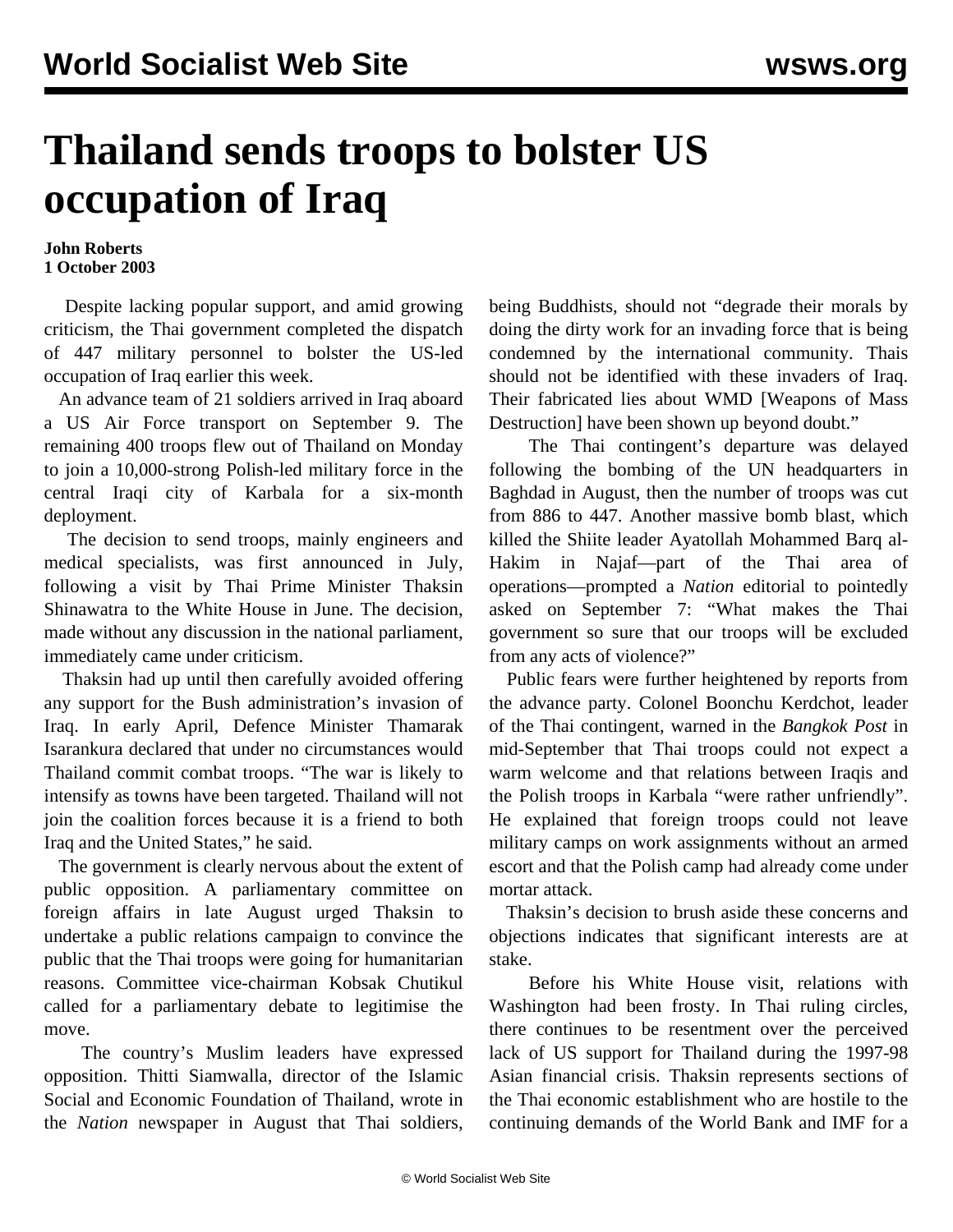## **Thailand sends troops to bolster US occupation of Iraq**

## **John Roberts 1 October 2003**

 Despite lacking popular support, and amid growing criticism, the Thai government completed the dispatch of 447 military personnel to bolster the US-led occupation of Iraq earlier this week.

 An advance team of 21 soldiers arrived in Iraq aboard a US Air Force transport on September 9. The remaining 400 troops flew out of Thailand on Monday to join a 10,000-strong Polish-led military force in the central Iraqi city of Karbala for a six-month deployment.

 The decision to send troops, mainly engineers and medical specialists, was first announced in July, following a visit by Thai Prime Minister Thaksin Shinawatra to the White House in June. The decision, made without any discussion in the national parliament, immediately came under criticism.

 Thaksin had up until then carefully avoided offering any support for the Bush administration's invasion of Iraq. In early April, Defence Minister Thamarak Isarankura declared that under no circumstances would Thailand commit combat troops. "The war is likely to intensify as towns have been targeted. Thailand will not join the coalition forces because it is a friend to both Iraq and the United States," he said.

 The government is clearly nervous about the extent of public opposition. A parliamentary committee on foreign affairs in late August urged Thaksin to undertake a public relations campaign to convince the public that the Thai troops were going for humanitarian reasons. Committee vice-chairman Kobsak Chutikul called for a parliamentary debate to legitimise the move.

 The country's Muslim leaders have expressed opposition. Thitti Siamwalla, director of the Islamic Social and Economic Foundation of Thailand, wrote in the *Nation* newspaper in August that Thai soldiers,

being Buddhists, should not "degrade their morals by doing the dirty work for an invading force that is being condemned by the international community. Thais should not be identified with these invaders of Iraq. Their fabricated lies about WMD [Weapons of Mass Destruction] have been shown up beyond doubt."

 The Thai contingent's departure was delayed following the bombing of the UN headquarters in Baghdad in August, then the number of troops was cut from 886 to 447. Another massive bomb blast, which killed the Shiite leader Ayatollah Mohammed Barq al-Hakim in Najaf—part of the Thai area of operations—prompted a *Nation* editorial to pointedly asked on September 7: "What makes the Thai government so sure that our troops will be excluded from any acts of violence?"

 Public fears were further heightened by reports from the advance party. Colonel Boonchu Kerdchot, leader of the Thai contingent, warned in the *Bangkok Post* in mid-September that Thai troops could not expect a warm welcome and that relations between Iraqis and the Polish troops in Karbala "were rather unfriendly". He explained that foreign troops could not leave military camps on work assignments without an armed escort and that the Polish camp had already come under mortar attack.

 Thaksin's decision to brush aside these concerns and objections indicates that significant interests are at stake.

 Before his White House visit, relations with Washington had been frosty. In Thai ruling circles, there continues to be resentment over the perceived lack of US support for Thailand during the 1997-98 Asian financial crisis. Thaksin represents sections of the Thai economic establishment who are hostile to the continuing demands of the World Bank and IMF for a